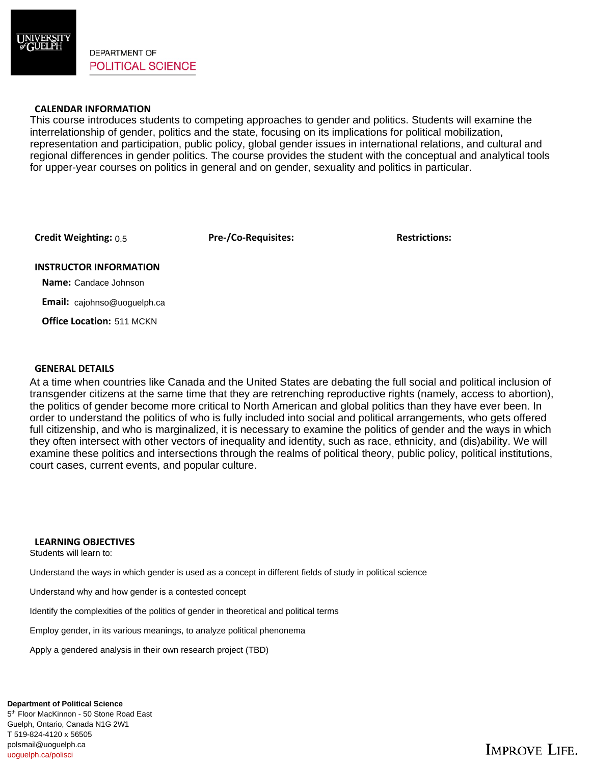

**DEPARTMENT OF POLITICAL SCIENCE** 

## **CALENDAR INFORMATION**

This course introduces students to competing approaches to gender and politics. Students will examine the interrelationship of gender, politics and the state, focusing on its implications for political mobilization, representation and participation, public policy, global gender issues in international relations, and cultural and regional differences in gender politics. The course provides the student with the conceptual and analytical tools for upper-year courses on politics in general and on gender, sexuality and politics in particular.

**Credit Weighting: Pre-/Co-Requisites: Restrictions:** 0.5

### **INSTRUCTOR INFORMATION**

 **Name:** Candace Johnson

 **Email:** cajohnso@uoguelph.ca

 **Office Location:**  511 MCKN

## **GENERAL DETAILS**

At a time when countries like Canada and the United States are debating the full social and political inclusion of transgender citizens at the same time that they are retrenching reproductive rights (namely, access to abortion), the politics of gender become more critical to North American and global politics than they have ever been. In order to understand the politics of who is fully included into social and political arrangements, who gets offered full citizenship, and who is marginalized, it is necessary to examine the politics of gender and the ways in which they often intersect with other vectors of inequality and identity, such as race, ethnicity, and (dis)ability. We will examine these politics and intersections through the realms of political theory, public policy, political institutions, court cases, current events, and popular culture.

## **LEARNING OBJECTIVES**

Students will learn to:

Understand the ways in which gender is used as a concept in different fields of study in political science

Understand why and how gender is a contested concept

Identify the complexities of the politics of gender in theoretical and political terms

Employ gender, in its various meanings, to analyze political phenonema

Apply a gendered analysis in their own research project (TBD)

#### **Department of Political Science**

5<sup>th</sup> Floor MacKinnon - 50 Stone Road East Guelph, Ontario, Canada N1G 2W1 T 519-824-4120 x 56505 polsmail@uoguelph.ca uoguelph.ca/polisci